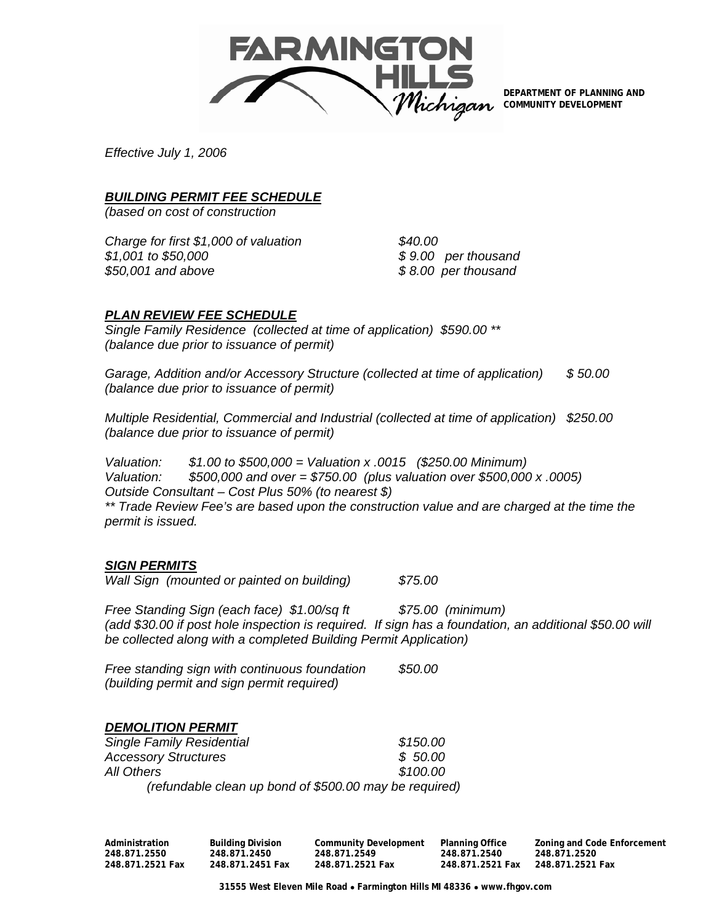

**DEPARTMENT OF PLANNING AND COMMUNITY DEVELOPMENT** 

*Effective July 1, 2006* 

## *BUILDING PERMIT FEE SCHEDULE*

*(based on cost of construction* 

*Charge for first \$1,000 of valuation \$40.00 \$1,001 to \$50,000 \$ 9.00 per thousand \$50,001 and above \$ 8.00 per thousand* 

### *PLAN REVIEW FEE SCHEDULE*

*Single Family Residence (collected at time of application) \$590.00 \*\* (balance due prior to issuance of permit)* 

*Garage, Addition and/or Accessory Structure (collected at time of application) \$ 50.00 (balance due prior to issuance of permit)* 

*Multiple Residential, Commercial and Industrial (collected at time of application) \$250.00 (balance due prior to issuance of permit)* 

*Valuation: \$1.00 to \$500,000 = Valuation x .0015 (\$250.00 Minimum) Valuation: \$500,000 and over = \$750.00 (plus valuation over \$500,000 x .0005) Outside Consultant – Cost Plus 50% (to nearest \$)* 

\*\* Trade Review Fee's are based upon the construction value and are charged at the time the *permit is issued.* 

### *SIGN PERMITS*

*Wall Sign (mounted or painted on building) \$75.00* 

*Free Standing Sign (each face) \$1.00/sq ft \$75.00 (minimum) (add \$30.00 if post hole inspection is required. If sign has a foundation, an additional \$50.00 will be collected along with a completed Building Permit Application)* 

*Free standing sign with continuous foundation \$50.00 (building permit and sign permit required)* 

# *DEMOLITION PERMIT*

| <b>Single Family Residential</b>                       | \$150.00 |
|--------------------------------------------------------|----------|
| <b>Accessory Structures</b>                            | \$50.00  |
| All Others                                             | \$100.00 |
| (refundable clean up bond of \$500.00 may be required) |          |

**Administration Building Division Community Development Planning Office Zoning and Code Enforcement 248.871.2550 248.871.2450 248.871.2549 248.871.2540 248.871.2520 248.871.2521 Fax 248.871.2451 Fax 248.871.2521 Fax 248.871.2521 Fax 248.871.2521 Fax** 

**31555 West Eleven Mile Road** • **Farmington Hills MI 48336** • **www.fhgov.com**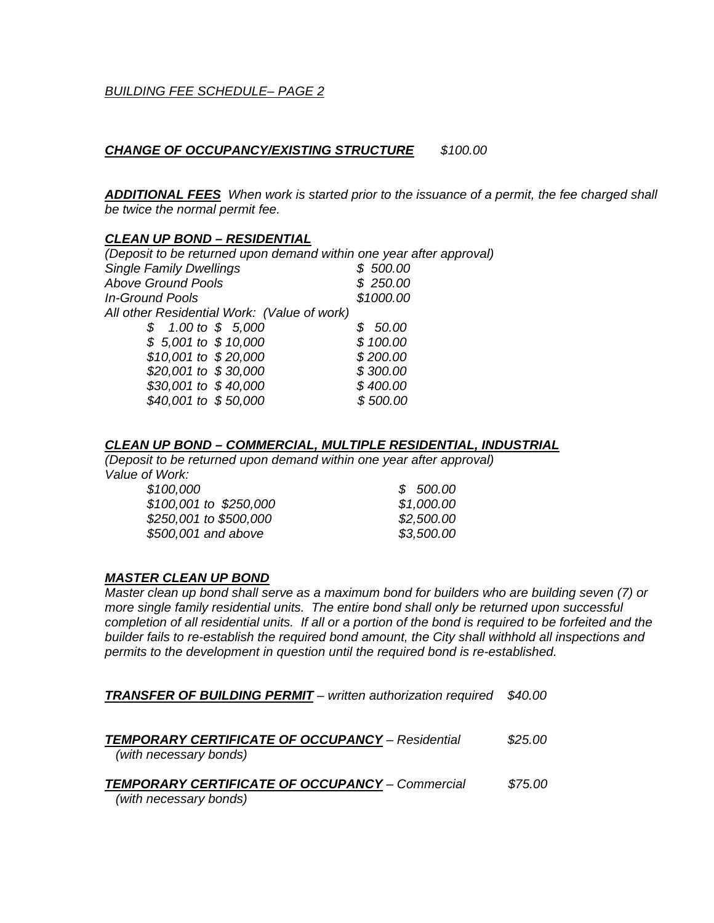### *CHANGE OF OCCUPANCY/EXISTING STRUCTURE \$100.00*

*ADDITIONAL FEES When work is started prior to the issuance of a permit, the fee charged shall be twice the normal permit fee.* 

### *CLEAN UP BOND – RESIDENTIAL*

*(Deposit to be returned upon demand within one year after approval) Single Family Dwellings \$ 500.00 Above Ground Pools \$ 250.00 In-Ground Pools \$1000.00 All other Residential Work: (Value of work) \$ 1.00 to \$ 5,000 \$ 50.00 \$ 5,001 to \$ 10,000 \$ 100.00 \$10,001 to \$ 20,000 \$ 200.00 \$20,001 to \$ 30,000 \$ 300.00 \$30,001 to \$ 40,000 \$ 400.00 \$40,001 to \$ 50,000 \$ 500.00* 

### *CLEAN UP BOND – COMMERCIAL, MULTIPLE RESIDENTIAL, INDUSTRIAL*

*(Deposit to be returned upon demand within one year after approval) Value of Work:* 

| \$100,000              | \$500.00   |
|------------------------|------------|
| \$100,001 to \$250,000 | \$1,000.00 |
| \$250,001 to \$500,000 | \$2,500.00 |
| \$500,001 and above    | \$3,500.00 |
|                        |            |

### *MASTER CLEAN UP BOND*

*Master clean up bond shall serve as a maximum bond for builders who are building seven (7) or more single family residential units. The entire bond shall only be returned upon successful completion of all residential units. If all or a portion of the bond is required to be forfeited and the builder fails to re-establish the required bond amount, the City shall withhold all inspections and permits to the development in question until the required bond is re-established.* 

*TRANSFER OF BUILDING PERMIT – written authorization required \$40.00* 

| <b>TEMPORARY CERTIFICATE OF OCCUPANCY - Residential</b> | \$25.00 |
|---------------------------------------------------------|---------|
| (with necessary bonds)                                  |         |
| <b>TEMPORARY CERTIFICATE OF OCCUPANCY - Commercial</b>  | \$75.00 |
|                                                         |         |
| (with necessary bonds)                                  |         |